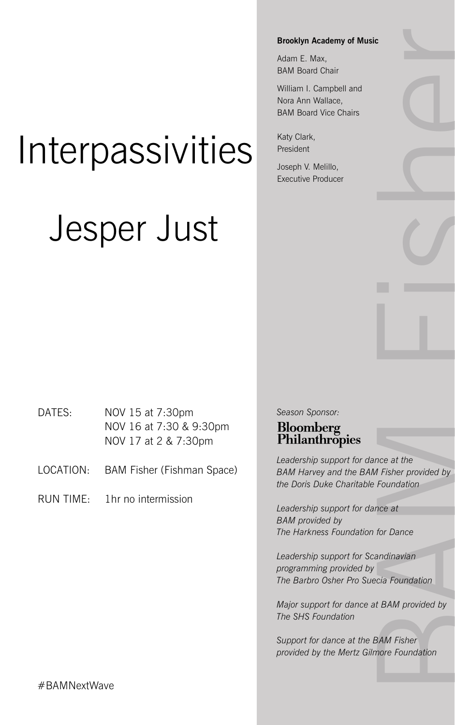**Brooklyn Academy of Music**

Adam E. Max, BAM Board Chair

William I. Campbell and Nora Ann Wallace, BAM Board Vice Chairs

Katy Clark, President

Joseph V. Melillo, Executive Producer

# Interpassivities

## Jesper Just

DATES: NOV 15 at 7:30pm NOV 16 at 7:30 & 9:30pm NOV 17 at 2 & 7:30pm

LOCATION: BAM Fisher (Fishman Space)

RUN TIME: 1hr no intermission

*Season Sponsor:*  Bloomberg Philanthropies

Fisher provided by<br>according the provided by<br>Foundation<br>note at<br>for Dance<br>andinavian<br>cia Foundation<br>BAM provided by<br>BAM Fisher<br>nore Foundation *Leadership support for dance at the BAM Harvey and the BAM Fisher provided by the Doris Duke Charitable Foundation*

*Leadership support for dance at BAM provided by The Harkness Foundation for Dance*

*Leadership support for Scandinavian programming provided by The Barbro Osher Pro Suecia Foundation*

*Major support for dance at BAM provided by The SHS Foundation*

*Support for dance at the BAM Fisher provided by the Mertz Gilmore Foundation*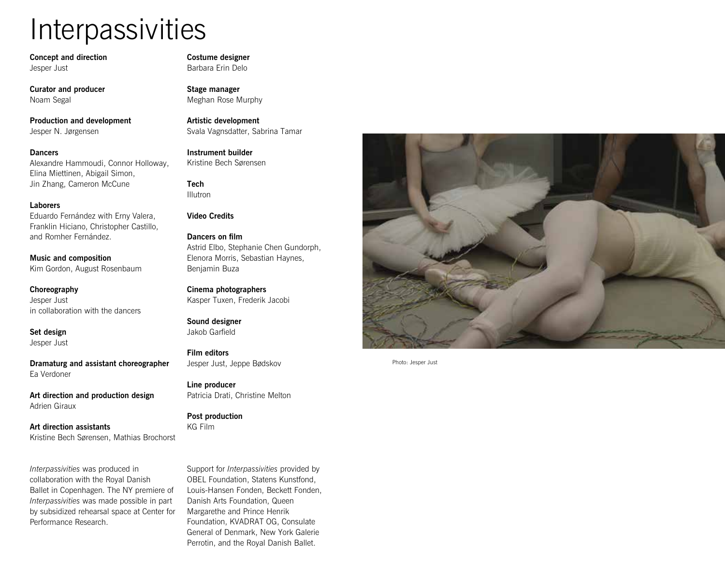## **Interpassivities**

**Concept and direction** Jesper Just

**Curator and producer** Noam Segal

**Production and development**  Jesper N. Jørgensen

#### **Dancers**

Alexandre Hammoudi, Connor Holloway, Elina Miettinen, Abigail Simon, Jin Zhang, Cameron McCune

#### **Laborers**

Eduardo Fernández with Erny Valera, Franklin Hiciano, Christopher Castillo, and Romher Fernández.

**Music and composition**  Kim Gordon, August Rosenbaum

**Choreography**  Jesper Just in collaboration with the dancers

**Set design** Jesper Just

**Dramaturg and assistant choreographer** Ea Verdoner

**Art direction and production design**  Adrien Giraux

**Art direction assistants**  Kristine Bech Sørensen, Mathias Brochorst

*Interpassivities* was produced in collaboration with the Royal Danish Ballet in Copenhagen. The NY premiere of *Interpassivities* was made possible in part by subsidized rehearsal space at Center for Performance Research.

**Costume designer**  Barbara Erin Delo

**Stage manager**  Meghan Rose Murphy

**Artistic development**  Svala Vagnsdatter, Sabrina Tamar

**Instrument builder**  Kristine Bech Sørensen

**Tech**  Illutron

#### **Video Credits**

**Dancers on film**  Astrid Elbo, Stephanie Chen Gundorph, Elenora Morris, Sebastian Haynes, Benjamin Buza

**Cinema photographers**  Kasper Tuxen, Frederik Jacobi

**Sound designer** Jakob Garfield

**Film editors**  Jesper Just, Jeppe Bødskov

**Line producer**  Patricia Drati, Christine Melton

**Post production** KG Film

Support for *Interpassivities* provided by OBEL Foundation, Statens Kunstfond, Louis-Hansen Fonden, Beckett Fonden, Danish Arts Foundation, Queen Margarethe and Prince Henrik Foundation, KVADRAT OG, Consulate General of Denmark, New York Galerie Perrotin, and the Royal Danish Ballet.



Photo: Jesper Just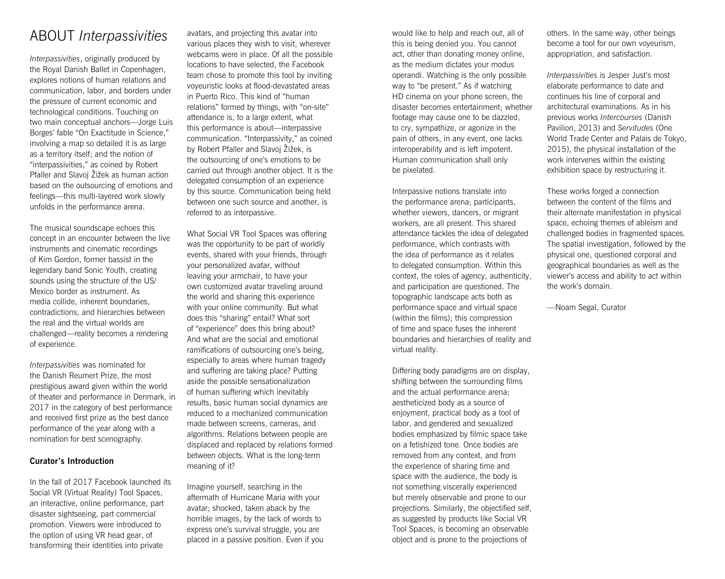### ABOUT *Interpassivities*

*Interpassivities*, originally produced by the Royal Danish Ballet in Copenhagen, explores notions of human relations and communication, labor, and borders under the pressure of current economic and technological conditions. Touching on two main conceptual anchors—Jorge Luis Borges' fable "On Exactitude in Science," involving a map so detailed it is as large as a territory itself; and the notion of "interpassivities," as coined by Robert Pfaller and Slavoj Žižek as human action based on the outsourcing of emotions and feelings—this multi-layered work slowly unfolds in the performance arena.

The musical soundscape echoes this concept in an encounter between the live instruments and cinematic recordings of Kim Gordon, former bassist in the legendary band Sonic Youth, creating sounds using the structure of the US/ Mexico border as instrument. As media collide, inherent boundaries, contradictions, and hierarchies between the real and the virtual worlds are challenged—reality becomes a rendering of experience.

*Interpassivities* was nominated for the Danish Reumert Prize, the most prestigious award given within the world of theater and performance in Denmark, in 2017 in the category of best performance and received first prize as the best dance performance of the year along with a nomination for best scenography.

#### **Curator's Introduction**

In the fall of 2017 Facebook launched its Social VR (Virtual Reality) Tool Spaces, an interactive, online performance, part disaster sightseeing, part commercial promotion. Viewers were introduced to the option of using VR head gear, of transforming their identities into private

avatars, and projecting this avatar into various places they wish to visit, wherever webcams were in place. Of all the possible locations to have selected, the Facebook team chose to promote this tool by inviting voyeuristic looks at flood-devastated areas in Puerto Rico. This kind of "human relations" formed by things, with "on-site" attendance is, to a large extent, what this performance is about—interpassive communication. "Interpassivity," as coined by Robert Pfaller and Slavoj Žižek, is the outsourcing of one's emotions to be carried out through another object. It is the delegated consumption of an experience by this source. Communication being held between one such source and another, is referred to as interpassive.

What Social VR Tool Spaces was offering was the opportunity to be part of worldly events, shared with your friends, through your personalized avatar, without leaving your armchair, to have your own customized avatar traveling around the world and sharing this experience with your online community. But what does this "sharing" entail? What sort of "experience" does this bring about? And what are the social and emotional ramifications of outsourcing one's being, especially to areas where human tragedy and suffering are taking place? Putting aside the possible sensationalization of human suffering which inevitably results, basic human social dynamics are reduced to a mechanized communication made between screens, cameras, and algorithms. Relations between people are displaced and replaced by relations formed between objects. What is the long-term meaning of it?

Imagine yourself, searching in the aftermath of Hurricane Maria with your avatar; shocked, taken aback by the horrible images, by the lack of words to express one's survival struggle, you are placed in a passive position. Even if you would like to help and reach out, all of this is being denied you. You cannot act, other than donating money online, as the medium dictates your modus operandi. Watching is the only possible way to "be present." As if watching HD cinema on your phone screen, the disaster becomes entertainment; whether footage may cause one to be dazzled, to cry, sympathize, or agonize in the pain of others, in any event, one lacks interoperability and is left impotent. Human communication shall only be pixelated.

Interpassive notions translate into the performance arena; participants, whether viewers, dancers, or migrant workers, are all present. This shared attendance tackles the idea of delegated performance, which contrasts with the idea of performance as it relates to delegated consumption. Within this context, the roles of agency, authenticity, and participation are questioned. The topographic landscape acts both as performance space and virtual space (within the films); this compression of time and space fuses the inherent boundaries and hierarchies of reality and virtual reality.

Differing body paradigms are on display, shifting between the surrounding films and the actual performance arena; aestheticized body as a source of enjoyment, practical body as a tool of labor, and gendered and sexualized bodies emphasized by filmic space take on a fetishized tone. Once bodies are removed from any context, and from the experience of sharing time and space with the audience, the body is not something viscerally experienced but merely observable and prone to our projections. Similarly, the objectified self, as suggested by products like Social VR Tool Spaces, is becoming an observable object and is prone to the projections of

others. In the same way, other beings become a tool for our own voyeurism, appropriation, and satisfaction.

*Interpassivities* is Jesper Just's most elaborate performance to date and continues his line of corporal and architectural examinations. As in his previous works *Intercourses* (Danish Pavilion, 2013) and *Servitudes* (One World Trade Center and Palais de Tokyo, 2015), the physical installation of the work intervenes within the existing exhibition space by restructuring it.

These works forged a connection between the content of the films and their alternate manifestation in physical space, echoing themes of ableism and challenged bodies in fragmented spaces. The spatial investigation, followed by the physical one, questioned corporal and geographical boundaries as well as the viewer's access and ability to act within the work's domain.

—Noam Segal, Curator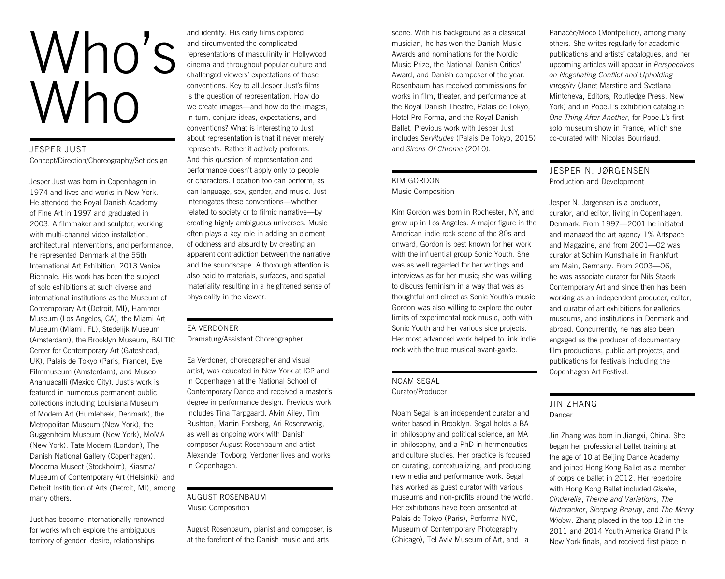# Who's Who

#### JESPER JUST Concept/Direction/Choreography/Set design

Jesper Just was born in Copenhagen in 1974 and lives and works in New York. He attended the Royal Danish Academy of Fine Art in 1997 and graduated in 2003. A filmmaker and sculptor, working with multi-channel video installation, architectural interventions, and performance, he represented Denmark at the 55th International Art Exhibition, 2013 Venice Biennale. His work has been the subject of solo exhibitions at such diverse and international institutions as the Museum of Contemporary Art (Detroit, MI), Hammer Museum (Los Angeles, CA), the Miami Art Museum (Miami, FL), Stedelijk Museum (Amsterdam), the Brooklyn Museum, BALTIC Center for Contemporary Art (Gateshead, UK), Palais de Tokyo (Paris, France), Eye Filmmuseum (Amsterdam), and Museo Anahuacalli (Mexico City). Just's work is featured in numerous permanent public collections including Louisiana Museum of Modern Art (Humlebæk, Denmark), the Metropolitan Museum (New York), the Guggenheim Museum (New York), MoMA (New York), Tate Modern (London), The Danish National Gallery (Copenhagen), Moderna Museet (Stockholm), Kiasma/ Museum of Contemporary Art (Helsinki), and Detroit Institution of Arts (Detroit, MI), among many others.

Just has become internationally renowned for works which explore the ambiguous territory of gender, desire, relationships

and identity. His early films explored and circumvented the complicated representations of masculinity in Hollywood cinema and throughout popular culture and challenged viewers' expectations of those conventions. Key to all Jesper Just's films is the question of representation. How do we create images—and how do the images, in turn, conjure ideas, expectations, and conventions? What is interesting to Just about representation is that it never merely represents. Rather it actively performs. And this question of representation and performance doesn't apply only to people or characters. Location too can perform, as can language, sex, gender, and music. Just interrogates these conventions—whether related to society or to filmic narrative—by creating highly ambiguous universes. Music often plays a key role in adding an element of oddness and absurdity by creating an apparent contradiction between the narrative and the soundscape. A thorough attention is also paid to materials, surfaces, and spatial materiality resulting in a heightened sense of physicality in the viewer.

#### EA VERDONER

Dramaturg/Assistant Choreographer

Ea Verdoner, choreographer and visual artist, was educated in New York at ICP and in Copenhagen at the National School of Contemporary Dance and received a master's degree in performance design. Previous work includes Tina Tarpgaard, Alvin Ailey, Tim Rushton, Martin Forsberg, Ari Rosenzweig, as well as ongoing work with Danish composer August Rosenbaum and artist Alexander Tovborg. Verdoner lives and works in Copenhagen.

#### AUGUST ROSENBAUM Music Composition

August Rosenbaum, pianist and composer, is at the forefront of the Danish music and arts

scene. With his background as a classical musician, he has won the Danish Music Awards and nominations for the Nordic Music Prize, the National Danish Critics' Award, and Danish composer of the year. Rosenbaum has received commissions for works in film, theater, and performance at the Royal Danish Theatre, Palais de Tokyo, Hotel Pro Forma, and the Royal Danish Ballet. Previous work with Jesper Just includes *Servitudes* (Palais De Tokyo, 2015) and *Sirens Of Chrome* (2010).

#### KIM GORDON Music Composition

Kim Gordon was born in Rochester, NY, and grew up in Los Angeles. A major figure in the American indie rock scene of the 80s and onward, Gordon is best known for her work with the influential group Sonic Youth. She was as well regarded for her writings and interviews as for her music; she was willing to discuss feminism in a way that was as thoughtful and direct as Sonic Youth's music. Gordon was also willing to explore the outer limits of experimental rock music, both with Sonic Youth and her various side projects. Her most advanced work helped to link indie rock with the true musical avant-garde.

#### NOAM SEGAL Curator/Producer

Noam Segal is an independent curator and writer based in Brooklyn. Segal holds a BA in philosophy and political science, an MA in philosophy, and a PhD in hermeneutics and culture studies. Her practice is focused on curating, contextualizing, and producing new media and performance work. Segal has worked as guest curator with various museums and non-profits around the world. Her exhibitions have been presented at Palais de Tokyo (Paris), Performa NYC, Museum of Contemporary Photography (Chicago), Tel Aviv Museum of Art, and La

Panacée/Moco (Montpellier), among many others. She writes regularly for academic publications and artists' catalogues, and her upcoming articles will appear in *Perspectives on Negotiating Conflict and Upholding Integrity* (Janet Marstine and Svetlana Mintcheva, Editors, Routledge Press, New York) and in Pope.L's exhibition catalogue *One Thing After Another*, for Pope.L's first solo museum show in France, which she co-curated with Nicolas Bourriaud.

#### JESPER N. JØRGENSEN Production and Development

Jesper N. Jørgensen is a producer, curator, and editor, living in Copenhagen, Denmark. From 1997—2001 he initiated and managed the art agency 1% Artspace and Magazine, and from 2001—02 was curator at Schirn Kunsthalle in Frankfurt am Main, Germany. From 2003—06, he was associate curator for Nils Staerk Contemporary Art and since then has been working as an independent producer, editor, and curator of art exhibitions for galleries, museums, and institutions in Denmark and abroad. Concurrently, he has also been engaged as the producer of documentary film productions, public art projects, and publications for festivals including the Copenhagen Art Festival.

#### JIN ZHANG Dancer

Jin Zhang was born in Jiangxi, China. She began her professional ballet training at the age of 10 at Beijing Dance Academy and joined Hong Kong Ballet as a member of corps de ballet in 2012. Her repertoire with Hong Kong Ballet included *Giselle*, *Cinderella*, *Theme and Variations*, *The Nutcracker*, *Sleeping Beauty*, and *The Merry Widow*. Zhang placed in the top 12 in the 2011 and 2014 Youth America Grand Prix New York finals, and received first place in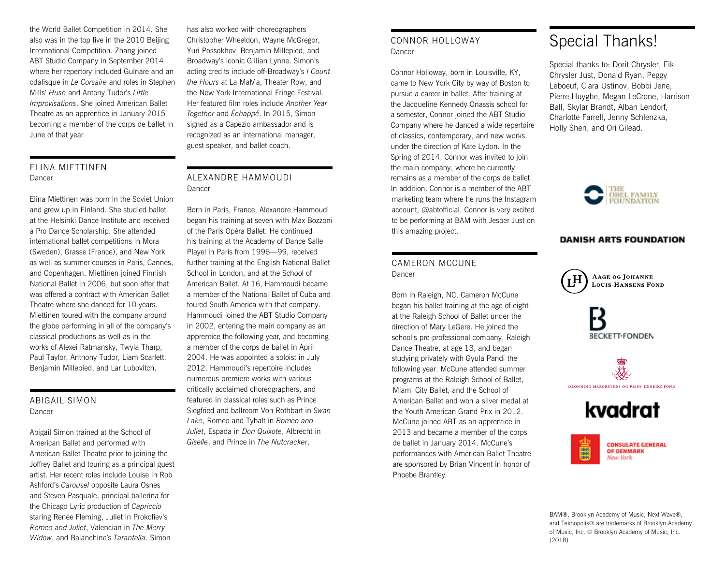the World Ballet Competition in 2014. She also was in the top five in the 2010 Beijing International Competition. Zhang joined ABT Studio Company in September 2014 where her repertory included Gulnare and an odalisque in *Le Corsaire* and roles in Stephen Mills' *Hush* and Antony Tudor's *Little Improvisations*. She joined American Ballet Theatre as an apprentice in January 2015 becoming a member of the corps de ballet in June of that year.

#### ELINA MIETTINEN Dancer

Elina Miettinen was born in the Soviet Union and grew up in Finland. She studied ballet at the Helsinki Dance Institute and received a Pro Dance Scholarship. She attended international ballet competitions in Mora (Sweden), Grasse (France), and New York as well as summer courses in Paris, Cannes, and Copenhagen. Miettinen joined Finnish National Ballet in 2006, but soon after that was offered a contract with American Ballet Theatre where she danced for 10 years. Miettinen toured with the company around the globe performing in all of the company's classical productions as well as in the works of Alexei Ratmansky, Twyla Tharp, Paul Taylor, Anthony Tudor, Liam Scarlett, Benjamin Millepied, and Lar Lubovitch.

#### ABIGAIL SIMON Dancer

Abigail Simon trained at the School of American Ballet and performed with American Ballet Theatre prior to joining the Joffrey Ballet and touring as a principal guest artist. Her recent roles include Louise in Rob Ashford's *Carousel* opposite Laura Osnes and Steven Pasquale, principal ballerina for the Chicago Lyric production of *Capriccio* staring Renée Fleming, Juliet in Prokofiev's *Romeo and Juliet*, Valencian in *The Merry Widow*, and Balanchine's *Tarantella*. Simon

has also worked with choreographers Christopher Wheeldon, Wayne McGregor, Yuri Possokhov, Benjamin Millepied, and Broadway's iconic Gillian Lynne. Simon's acting credits include off-Broadway's *I Count the Hours* at La MaMa, Theater Row, and the New York International Fringe Festival. Her featured film roles include *Another Year Together* and *Échappé*. In 2015, Simon signed as a Capezio ambassador and is recognized as an international manager, guest speaker, and ballet coach.

#### ALEXANDRE HAMMOUDI Dancer

Born in Paris, France, Alexandre Hammoudi began his training at seven with Max Bozzoni of the Paris Opéra Ballet. He continued his training at the Academy of Dance Salle Playel in Paris from 1996—99, received further training at the English National Ballet School in London, and at the School of American Ballet. At 16, Hammoudi became a member of the National Ballet of Cuba and toured South America with that company. Hammoudi joined the ABT Studio Company in 2002, entering the main company as an apprentice the following year, and becoming a member of the corps de ballet in April 2004. He was appointed a soloist in July 2012. Hammoudi's repertoire includes numerous premiere works with various critically acclaimed choreographers, and featured in classical roles such as Prince Siegfried and ballroom Von Rothbart in *Swan Lake*, Romeo and Tybalt in *Romeo and Juliet*, Espada in *Don Quixote*, Albrecht in *Giselle*, and Prince in *The Nutcracker*.

#### CONNOR HOLLOWAY Dancer

Connor Holloway, born in Louisville, KY, came to New York City by way of Boston to pursue a career in ballet. After training at the Jacqueline Kennedy Onassis school for a semester, Connor joined the ABT Studio Company where he danced a wide repertoire of classics, contemporary, and new works under the direction of Kate Lydon. In the Spring of 2014, Connor was invited to join the main company, where he currently remains as a member of the corps de ballet. In addition, Connor is a member of the ABT marketing team where he runs the Instagram account, @abtofficial. Connor is very excited to be performing at BAM with Jesper Just on this amazing project.

#### CAMERON MCCUNE Dancer

Born in Raleigh, NC, Cameron McCune began his ballet training at the age of eight at the Raleigh School of Ballet under the direction of Mary LeGere. He joined the school's pre-professional company, Raleigh Dance Theatre, at age 13, and began studying privately with Gyula Pandi the following year. McCune attended summer programs at the Raleigh School of Ballet, Miami City Ballet, and the School of American Ballet and won a silver medal at the Youth American Grand Prix in 2012. McCune joined ABT as an apprentice in 2013 and became a member of the corps de ballet in January 2014. McCune's performances with American Ballet Theatre are sponsored by Brian Vincent in honor of Phoebe Brantley.

## Special Thanks!

Special thanks to: Dorit Chrysler, Eik Chrysler Just, Donald Ryan, Peggy Leboeuf, Clara Ustinov, Bobbi Jene, Pierre Huyghe, Megan LeCrone, Harrison Ball, Skylar Brandt, Alban Lendorf, Charlotte Farrell, Jenny Schlenzka, Holly Shen, and Ori Gilead.



#### **DANISH ARTS FOUNDATION**











BAM®, Brooklyn Academy of Music, Next Wave®, and Teknopolis® are trademarks of Brooklyn Academy of Music, Inc. © Brooklyn Academy of Music, Inc. (2018).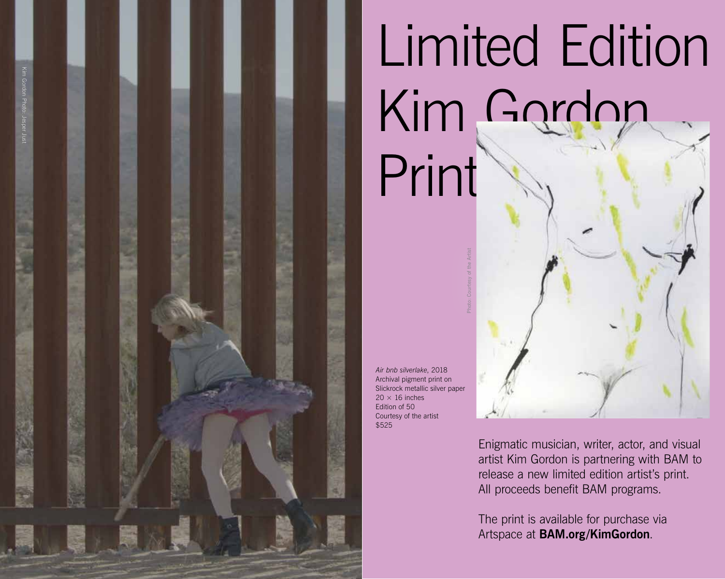

Limited Edition Kim Gordon Print

*Air bnb silverlake*, 2018 Archival pigment print on Slickrock metallic silver paper  $20 \times 16$  inches Edition of 50 Courtesy of the artist \$525

Photo: Courtesy of the Artist

Enigmatic musician, writer, actor, and visual artist Kim Gordon is partnering with BAM to release a new limited edition artist's print. All proceeds benefit BAM programs.

The print is available for purchase via Artspace at **BAM.org/KimGordon** .